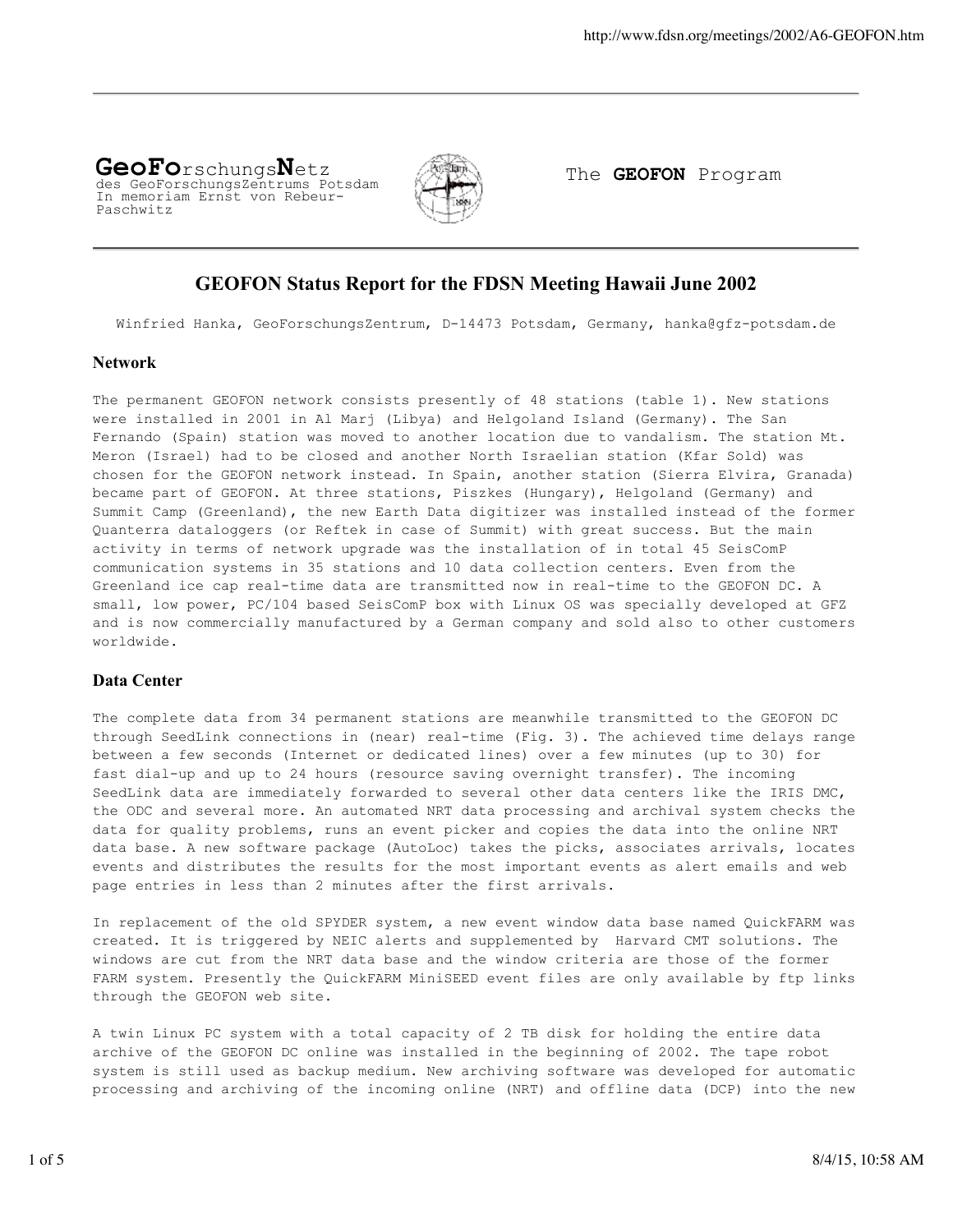#### **GeoFo**rschungs**N**etz des GeoForschungsZentrums Potsdam In memoriam Ernst von Rebeur-Paschwitz



The **GEOFON** Program

## **GEOFON Status Report for the FDSN Meeting Hawaii June 2002**

Winfried Hanka, GeoForschungsZentrum, D-14473 Potsdam, Germany, hanka@gfz-potsdam.de

#### **Network**

The permanent GEOFON network consists presently of 48 stations (table 1). New stations were installed in 2001 in Al Marj (Libya) and Helgoland Island (Germany). The San Fernando (Spain) station was moved to another location due to vandalism. The station Mt. Meron (Israel) had to be closed and another North Israelian station (Kfar Sold) was chosen for the GEOFON network instead. In Spain, another station (Sierra Elvira, Granada) became part of GEOFON. At three stations, Piszkes (Hungary), Helgoland (Germany) and Summit Camp (Greenland), the new Earth Data digitizer was installed instead of the former Quanterra dataloggers (or Reftek in case of Summit) with great success. But the main activity in terms of network upgrade was the installation of in total 45 SeisComP communication systems in 35 stations and 10 data collection centers. Even from the Greenland ice cap real-time data are transmitted now in real-time to the GEOFON DC. A small, low power, PC/104 based SeisComP box with Linux OS was specially developed at GFZ and is now commercially manufactured by a German company and sold also to other customers worldwide.

### **Data Center**

The complete data from 34 permanent stations are meanwhile transmitted to the GEOFON DC through SeedLink connections in (near) real-time (Fig. 3). The achieved time delays range between a few seconds (Internet or dedicated lines) over a few minutes (up to 30) for fast dial-up and up to 24 hours (resource saving overnight transfer). The incoming SeedLink data are immediately forwarded to several other data centers like the IRIS DMC, the ODC and several more. An automated NRT data processing and archival system checks the data for quality problems, runs an event picker and copies the data into the online NRT data base. A new software package (AutoLoc) takes the picks, associates arrivals, locates events and distributes the results for the most important events as alert emails and web page entries in less than 2 minutes after the first arrivals.

In replacement of the old SPYDER system, a new event window data base named QuickFARM was created. It is triggered by NEIC alerts and supplemented by Harvard CMT solutions. The windows are cut from the NRT data base and the window criteria are those of the former FARM system. Presently the QuickFARM MiniSEED event files are only available by ftp links through the GEOFON web site.

A twin Linux PC system with a total capacity of 2 TB disk for holding the entire data archive of the GEOFON DC online was installed in the beginning of 2002. The tape robot system is still used as backup medium. New archiving software was developed for automatic processing and archiving of the incoming online (NRT) and offline data (DCP) into the new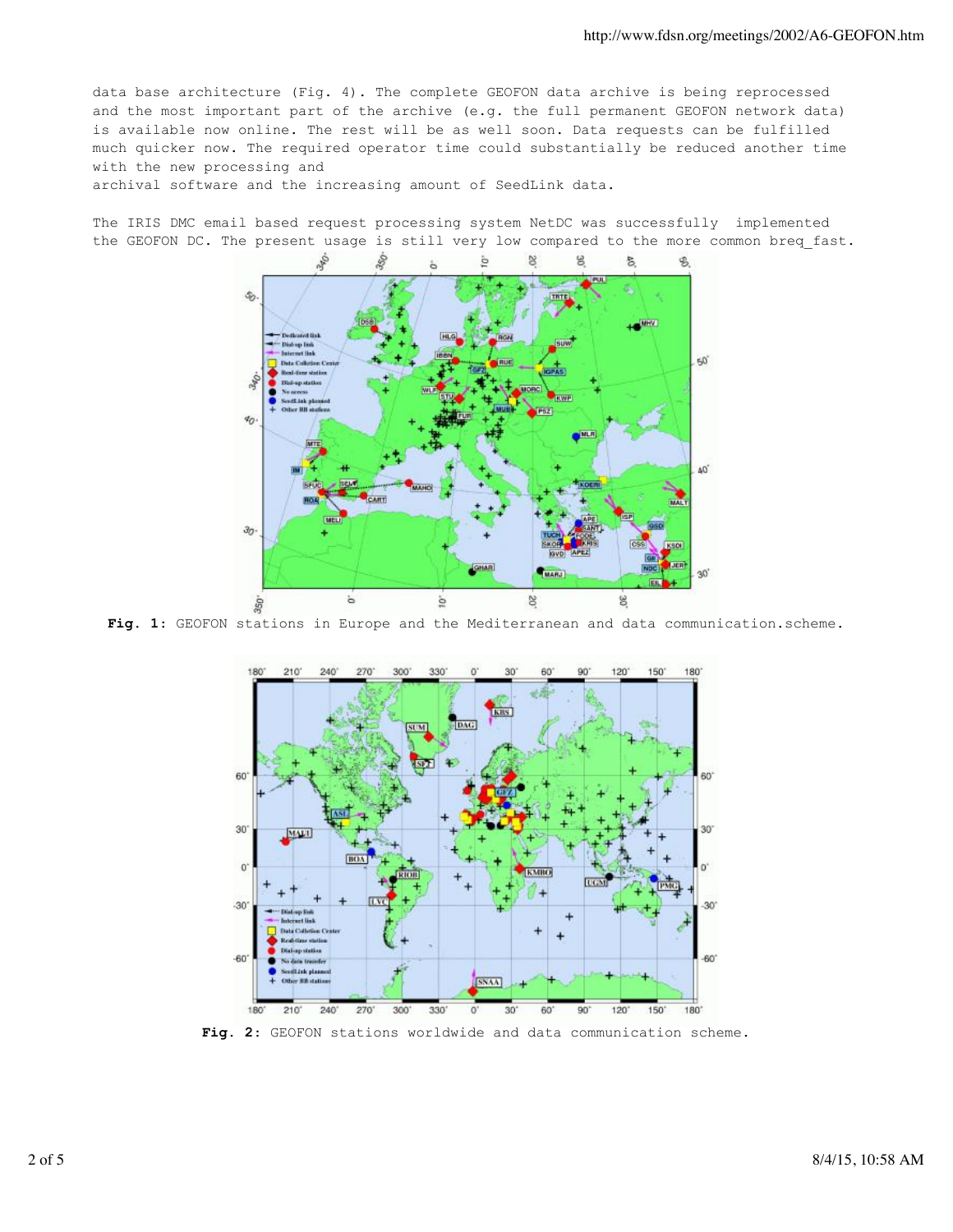data base architecture (Fig. 4). The complete GEOFON data archive is being reprocessed and the most important part of the archive (e.g. the full permanent GEOFON network data) is available now online. The rest will be as well soon. Data requests can be fulfilled much quicker now. The required operator time could substantially be reduced another time with the new processing and

archival software and the increasing amount of SeedLink data.

The IRIS DMC email based request processing system NetDC was successfully implemented the GEOFON DC. The present usage is still very low compared to the more common breq fast.



**Fig. 1**: GEOFON stations in Europe and the Mediterranean and data communication.scheme.



**Fig. 2**: GEOFON stations worldwide and data communication scheme.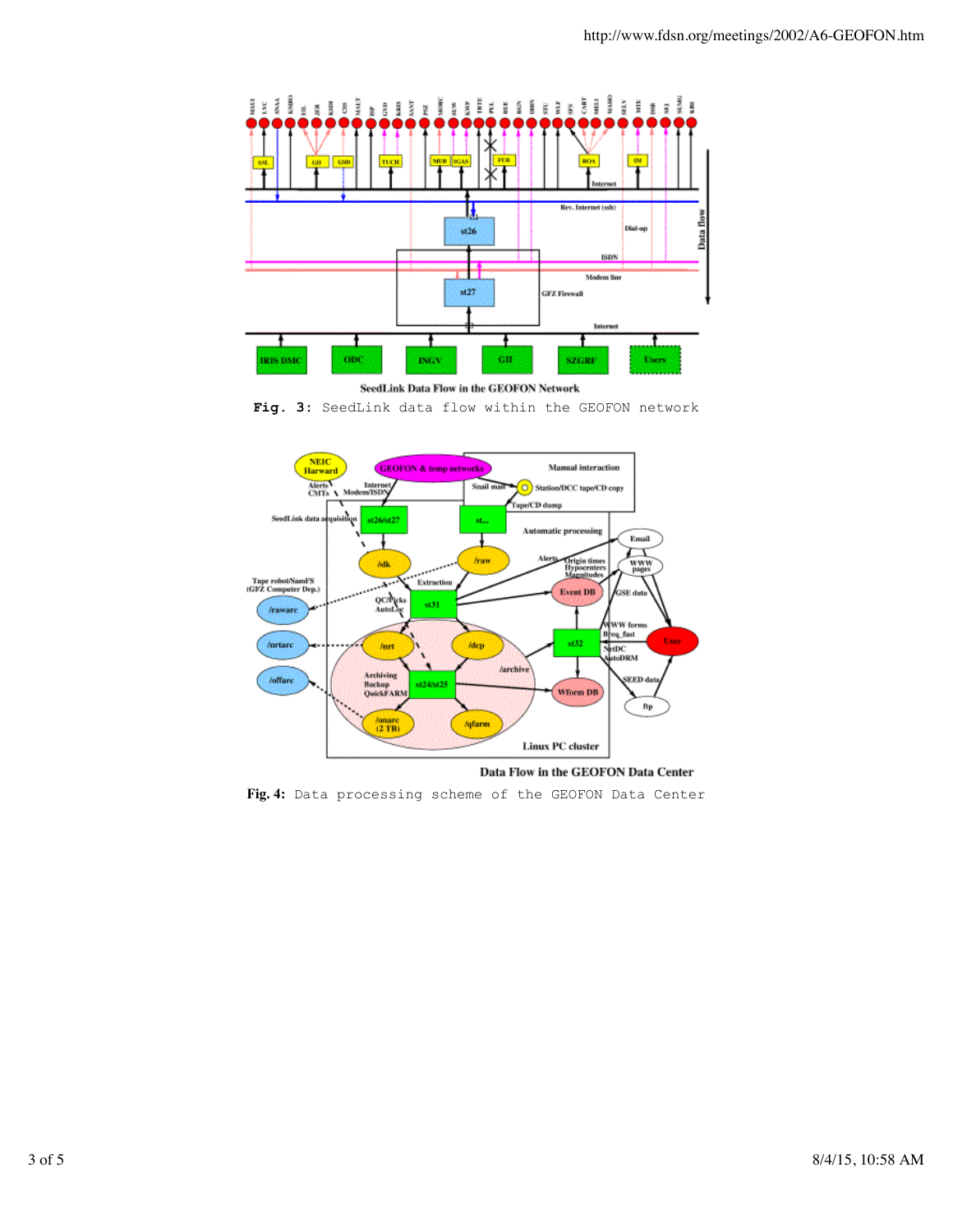



**Fig. 3:** SeedLink data flow within the GEOFON network



Data Flow in the GEOFON Data Center

**Fig. 4:** Data processing scheme of the GEOFON Data Center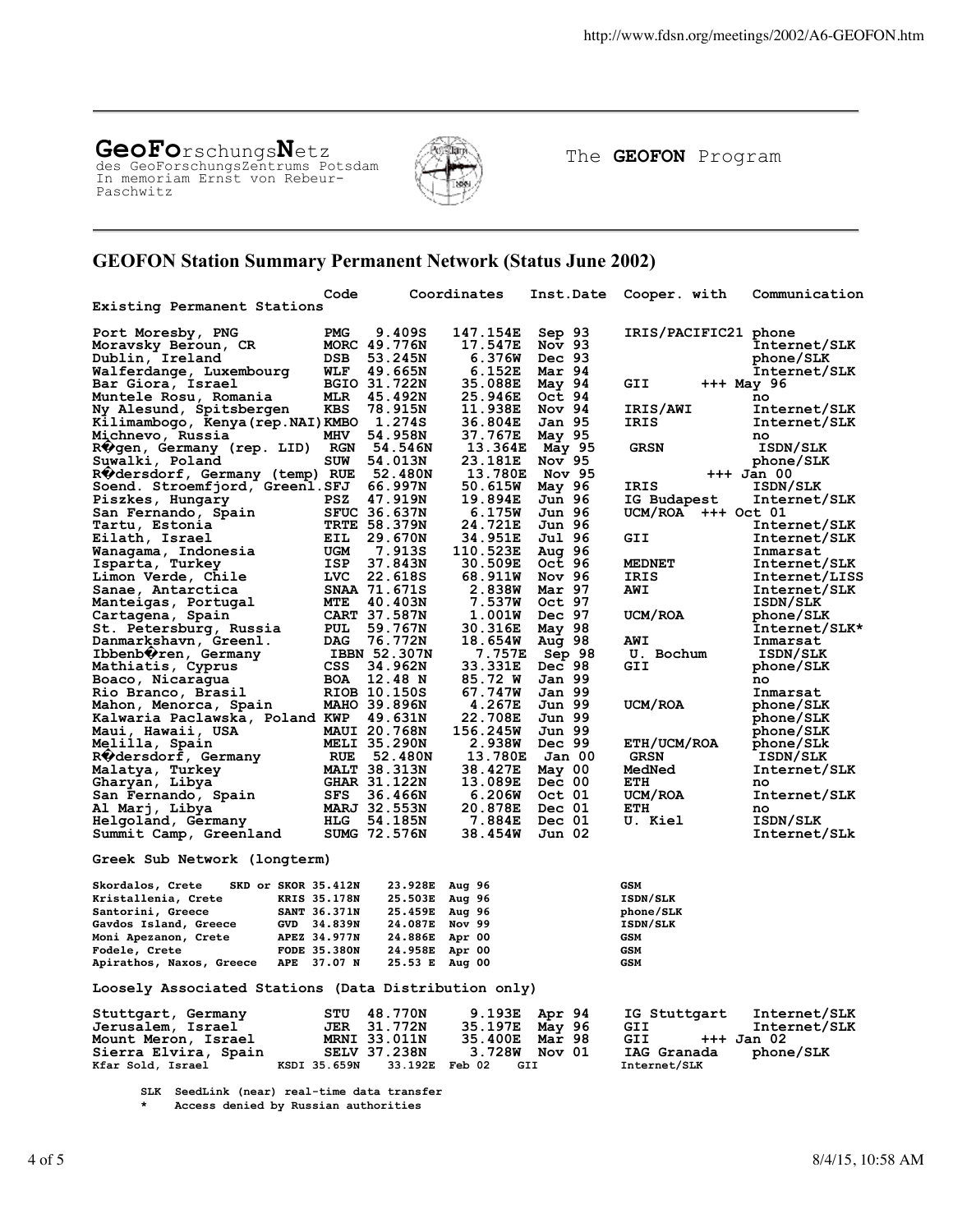# **GeoFo**rschungs**N**etz des GeoForschungsZentrums Potsdam

In memoriam Ernst von Rebeur-Paschwitz



The **GEOFON** Program

## **GEOFON Station Summary Permanent Network (Status June 2002)**

|                                                      | Code                |                     | Coordinates | Inst.Date      | Cooper. with          | Communication   |
|------------------------------------------------------|---------------------|---------------------|-------------|----------------|-----------------------|-----------------|
| Existing Permanent Stations                          |                     |                     |             |                |                       |                 |
|                                                      |                     |                     |             |                |                       |                 |
| Port Moresby, PNG                                    | <b>PMG</b>          | 9.409S              | 147.154E    | Sep 93         | IRIS/PACIFIC21 phone  |                 |
| Moravsky Beroun, CR                                  |                     | MORC 49.776N        | 17.547E     | Nov $93$       |                       | Internet/SLK    |
| Dublin, Ireland                                      | DSB                 | 53.245N             | 6.376W      | Dec 93         |                       | phone/SLK       |
| Walferdange, Luxembourg                              | WLF                 | 49.665N             | 6.152E      | Mar 94         |                       | Internet/SLK    |
| Bar Giora, Israel                                    |                     | BGIO 31.722N        | 35.088E     | May 94         | GII                   | +++ May 96      |
| Muntele Rosu, Romania                                | MLR                 | 45.492N             | 25.946E     | Oct 94         |                       | no              |
| Ny Alesund, Spitsbergen                              | KBS                 | 78.915N             | 11.938E     | Nov 94         | IRIS/AWI              | Internet/SLK    |
| Kilimambogo, Kenya (rep.NAI) KMBO 1.274S             |                     |                     | 36.804E     | Jan 95         | IRIS                  | Internet/SLK    |
| Michnevo, Russia                                     | MHV                 | 54.958N             | 37.767E     | May 95         |                       | no              |
| R∜gen, Germany (rep. LID)                            | <b>RGN</b>          | 54.546N             |             | 13.364E May 95 | <b>GRSN</b>           | ISDN/SLK        |
| Suwalki, Poland                                      | <b>SUW</b>          | 54.013N             | 23.181E     | Nov 95         |                       | phone/SLK       |
| RVdersdorf, Germany (temp) RUE                       |                     | 52.480N             |             | 13.780E Nov 95 |                       | +++ Jan 00      |
| Soend. Stroemfjord, Greenl.SFJ                       |                     | 66.997N             | 50.615W     | May 96         | IRIS                  | <b>ISDN/SLK</b> |
| Piszkes, Hungary                                     | PSZ                 | 47.919N             | 19.894E     | Jun 96         | IG Budapest           | Internet/SLK    |
| San Fernando, Spain                                  |                     | <b>SFUC 36.637N</b> | 6.175W      | Jun 96         | $UCM/ROA$ $++$ Oct 01 |                 |
| Tartu, Estonia                                       |                     | <b>TRTE 58.379N</b> | 24.721E     | Jun 96         |                       | Internet/SLK    |
| Eilath, Israel                                       | EIL                 | 29.670N             | 34.951E     | Jul 96         | GII                   | Internet/SLK    |
| Wanaqama, Indonesia                                  | UGM                 | 7.913S              | 110.523E    | Aug 96         |                       | Inmarsat        |
| Isparta, Turkey                                      | ISP                 | 37.843N             | 30.509E     | Oct 96         | <b>MEDNET</b>         | Internet/SLK    |
| Limon Verde, Chile                                   | LVC                 | 22.618S             | 68.911W     | Nov 96         | IRIS                  | Internet/LISS   |
| Sanae, Antarctica                                    |                     | SNAA 71.671S        | 2.838W      | Mar 97         | <b>AWI</b>            | Internet/SLK    |
| Manteigas, Portugal                                  | MTE                 | 40.403N             | 7.537W      | Oct 97         |                       | <b>ISDN/SLK</b> |
| Cartagena, Spain                                     |                     | CART 37.587N        | 1.001W      | Dec 97         | UCM/ROA               | phone/SLK       |
| St. Petersburg, Russia                               | PUL                 | 59.767N             | 30.316E     | May 98         |                       | Internet/SLK*   |
| Danmarkshavn, Green1.                                | DAG                 | 76.772N             | 18.654W     | Aug 98         | <b>AWI</b>            | Inmarsat        |
| Ibbenb∜ren, Germany                                  |                     | IBBN 52.307N        | 7.757E      | Sep 98         | U. Bochum             | ISDN/SLK        |
| Mathiatis, Cyprus                                    | <b>CSS</b>          | 34.962N             | 33.331E     | Dec 98         | GII                   | phone/SLK       |
| Boaco, Nicaragua                                     | <b>BOA</b>          | 12.48 N             | 85.72 W     | Jan 99         |                       | no              |
| Rio Branco, Brasil                                   |                     | RIOB 10.150S        | 67.747W     | Jan 99         |                       | Inmarsat        |
| Mahon, Menorca, Spain                                |                     | <b>MAHO 39.896N</b> | 4.267E      | Jun 99         | UCM/ROA               | phone/SLK       |
| Kalwaria Paclawska, Poland KWP                       |                     | 49.631N             | 22.708E     | Jun 99         |                       | phone/SLK       |
| Maui, Hawaii, USA                                    |                     | <b>MAUI 20.768N</b> | 156.245W    | Jun 99         |                       | phone/SLK       |
| Melilla, Spain                                       |                     | <b>MELI 35.290N</b> |             | 2.938W Dec 99  | ETH/UCM/ROA           | phone/SLk       |
| R#dersdorf, Germany                                  | RUE                 | 52.480N             | 13.780E     | Jan 00         | <b>GRSN</b>           | ISDN/SLK        |
| Malatya, Turkey                                      |                     | <b>MALT 38.313N</b> | 38.427E     | May 00         | MedNed                | Internet/SLK    |
| Gharyan, Libya                                       |                     | <b>GHAR 31.122N</b> | 13.089E     | Dec 00         | ETH                   | no              |
| San Fernando, Spain                                  | SFS                 | 36.466N             | 6.206W      | Oct 01         | UCM/ROA               | Internet/SLK    |
| Al Marj, Libya                                       |                     | MARJ 32.553N        | 20.878E     | Dec 01         | ETH                   | no              |
| Helgoland, Germany                                   | HLG                 | 54.185N             | 7.884E      | Dec 01         | U. Kiel               | ISDN/SLK        |
| Summit Camp, Greenland                               |                     | <b>SUMG 72.576N</b> | 38.454W     | Jun 02         |                       | Internet/SLk    |
|                                                      |                     |                     |             |                |                       |                 |
| Greek Sub Network (longterm)                         |                     |                     |             |                |                       |                 |
|                                                      |                     |                     |             |                |                       |                 |
| Skordalos, Crete                                     | SKD or SKOR 35.412N | 23.928E Aug 96      |             |                | <b>GSM</b>            |                 |
| Kristallenia, Crete                                  | <b>KRIS 35.178N</b> | 25.503E Aug 96      |             |                | <b>ISDN/SLK</b>       |                 |
| Santorini, Greece                                    | <b>SANT 36.371N</b> | 25.459E Aug 96      |             |                | phone/SLK             |                 |
| Gavdos Island, Greece                                | GVD 34.839N         | 24.087E Nov 99      |             |                | <b>ISDN/SLK</b>       |                 |
| Moni Apezanon, Crete                                 | <b>APEZ 34.977N</b> | 24.886E Apr 00      |             |                | <b>GSM</b>            |                 |
| Fodele, Crete                                        | <b>FODE 35.380N</b> | 24.958E             | Apr 00      |                | <b>GSM</b>            |                 |
| Apirathos, Naxos, Greece                             | APE 37.07 N         | 25.53 E             | Aug 00      |                | <b>GSM</b>            |                 |
| Loosely Associated Stations (Data Distribution only) |                     |                     |             |                |                       |                 |
|                                                      |                     |                     |             |                |                       |                 |
| Stuttgart, Germany                                   | STU                 | 48.770N             | 9.193E      | Apr 94         | IG Stuttgart          | Internet/SLK    |
| Jerusalem, Israel                                    | JER                 | 31.772N             | 35.197E     | May 96         | GII                   | Internet/SLK    |
| Mount Meron, Israel                                  |                     | MRNI 33.011N        | 35.400E     | Mar 98         | GII<br>+++ Jan 02     |                 |
| Sierra Elvira, Spain                                 |                     | <b>SELV 37.238N</b> |             | 3.728W Nov 01  | IAG Granada           | phone/SLK       |
| Kfar Sold, Israel                                    | KSDI 35.659N        | 33.192E Feb 02      |             | GII            | Internet/SLK          |                 |

**SLK SeedLink (near) real-time data transfer**

 **\* Access denied by Russian authorities**